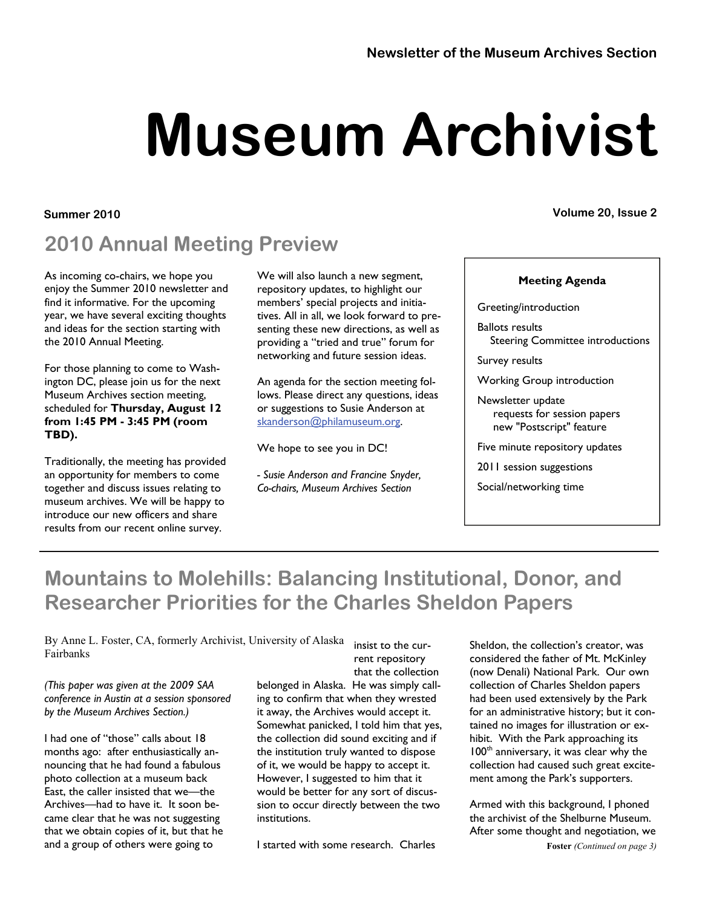# **Museum Archivist**

#### **Summer 2010 Volume 20, Issue 2**

## **2010 Annual Meeting Preview**

As incoming co-chairs, we hope you enjoy the Summer 2010 newsletter and find it informative. For the upcoming year, we have several exciting thoughts and ideas for the section starting with the 2010 Annual Meeting.

For those planning to come to Washington DC, please join us for the next Museum Archives section meeting, scheduled for **Thursday, August 12 from 1:45 PM - 3:45 PM (room TBD).** 

Traditionally, the meeting has provided an opportunity for members to come together and discuss issues relating to museum archives. We will be happy to introduce our new officers and share results from our recent online survey.

We will also launch a new segment, repository updates, to highlight our members' special projects and initiatives. All in all, we look forward to presenting these new directions, as well as providing a "tried and true" forum for networking and future session ideas.

An agenda for the section meeting follows. Please direct any questions, ideas or suggestions to Susie Anderson at [skanderson@philamuseum.org](mailto:skanderson@philamuseum.org).

We hope to see you in DC!

*- Susie Anderson and Francine Snyder, Co-chairs, Museum Archives Section* 

Greeting/introduction

Ballots results Steering Committee introductions

**Meeting Agenda** 

Survey results

Working Group introduction

Newsletter update requests for session papers new "Postscript" feature

Five minute repository updates

2011 session suggestions

Social/networking time

## **Mountains to Molehills: Balancing Institutional, Donor, and Researcher Priorities for the Charles Sheldon Papers**

By Anne L. Foster, CA, formerly Archivist, University of Alaska Fairbanks

*(This paper was given at the 2009 SAA conference in Austin at a session sponsored by the Museum Archives Section.)* 

I had one of "those" calls about 18 months ago: after enthusiastically announcing that he had found a fabulous photo collection at a museum back East, the caller insisted that we—the Archives—had to have it. It soon became clear that he was not suggesting that we obtain copies of it, but that he and a group of others were going to

insist to the current repository that the collection

belonged in Alaska. He was simply calling to confirm that when they wrested it away, the Archives would accept it. Somewhat panicked, I told him that yes, the collection did sound exciting and if the institution truly wanted to dispose of it, we would be happy to accept it. However, I suggested to him that it would be better for any sort of discussion to occur directly between the two institutions.

I started with some research. Charles

Sheldon, the collection's creator, was considered the father of Mt. McKinley (now Denali) National Park. Our own collection of Charles Sheldon papers had been used extensively by the Park for an administrative history; but it contained no images for illustration or exhibit. With the Park approaching its 100<sup>th</sup> anniversary, it was clear why the collection had caused such great excitement among the Park's supporters.

Armed with this background, I phoned the archivist of the Shelburne Museum. After some thought and negotiation, we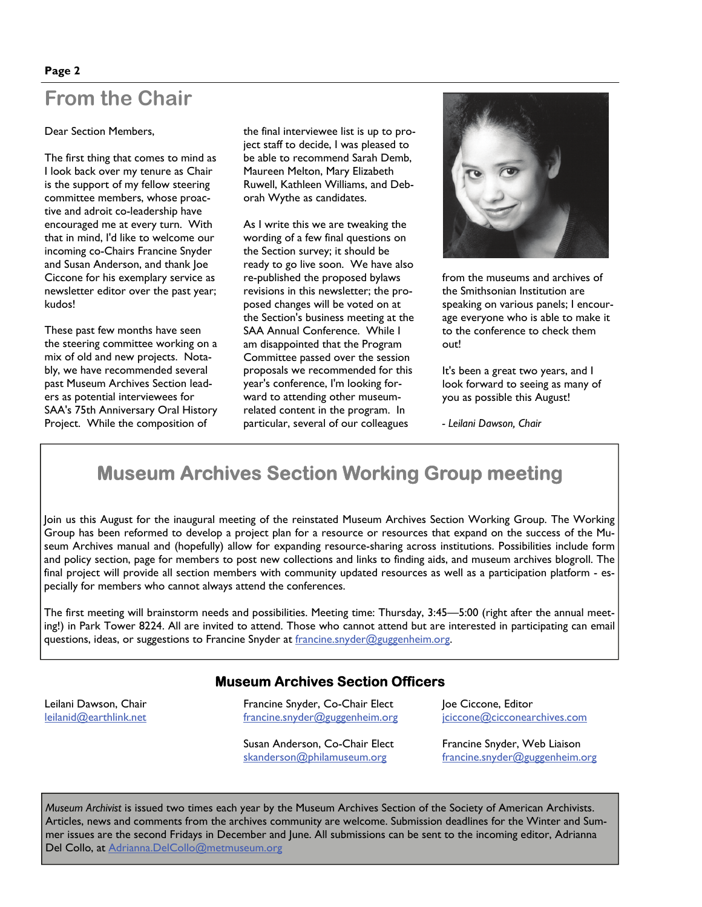## **From the Chair**

Dear Section Members,

The first thing that comes to mind as I look back over my tenure as Chair is the support of my fellow steering committee members, whose proactive and adroit co-leadership have encouraged me at every turn. With that in mind, I'd like to welcome our incoming co-Chairs Francine Snyder and Susan Anderson, and thank Joe Ciccone for his exemplary service as newsletter editor over the past year; kudos!

These past few months have seen the steering committee working on a mix of old and new projects. Notably, we have recommended several past Museum Archives Section leaders as potential interviewees for SAA's 75th Anniversary Oral History Project. While the composition of

the final interviewee list is up to project staff to decide, I was pleased to be able to recommend Sarah Demb, Maureen Melton, Mary Elizabeth Ruwell, Kathleen Williams, and Deborah Wythe as candidates.

As I write this we are tweaking the wording of a few final questions on the Section survey; it should be ready to go live soon. We have also re-published the proposed bylaws revisions in this newsletter; the proposed changes will be voted on at the Section's business meeting at the SAA Annual Conference. While I am disappointed that the Program Committee passed over the session proposals we recommended for this year's conference, I'm looking forward to attending other museumrelated content in the program. In particular, several of our colleagues



from the museums and archives of the Smithsonian Institution are speaking on various panels; I encourage everyone who is able to make it to the conference to check them out!

It's been a great two years, and I look forward to seeing as many of you as possible this August!

*- Leilani Dawson, Chair* 

## **Museum Archives Section Working Group meeting**

Join us this August for the inaugural meeting of the reinstated Museum Archives Section Working Group. The Working Group has been reformed to develop a project plan for a resource or resources that expand on the success of the Museum Archives manual and (hopefully) allow for expanding resource-sharing across institutions. Possibilities include form and policy section, page for members to post new collections and links to finding aids, and museum archives blogroll. The final project will provide all section members with community updated resources as well as a participation platform - especially for members who cannot always attend the conferences.

The first meeting will brainstorm needs and possibilities. Meeting time: Thursday, 3:45—5:00 (right after the annual meeting!) in Park Tower 8224. All are invited to attend. Those who cannot attend but are interested in participating can email questions, ideas, or suggestions to Francine Snyder at [francine.snyder@guggenheim.org](mailto:francine.snyder@guggenheim.org).

#### **Museum Archives Section Officers**

Leilani Dawson, Chair [leilanid@earthlink.ne](mailto:leilanid@earthlink.net)t Francine Snyder, Co-Chair Elect [francine.snyder@guggenheim.org](mailto:francine.snyder@guggenheim.org)

Susan Anderson, Co-Chair Elect [skanderson@philamuseum.org](mailto:skanderson@philamuseum.org)

Joe Ciccone, Editor [jciccone@cicconearchives.com](mailto:jciccone@cicconearchives.com)

Francine Snyder, Web Liaison [francine.snyder@guggenheim.org](mailto:francine.snyder@guggenheim.org)

*Museum Archivist* is issued two times each year by the Museum Archives Section of the Society of American Archivists. Articles, news and comments from the archives community are welcome. Submission deadlines for the Winter and Summer issues are the second Fridays in December and June. All submissions can be sent to the incoming editor, Adrianna Del Collo, at [Adrianna.DelCollo@metmuseum.org](mailto:Adrianna.DelCollo@metmuseum.org)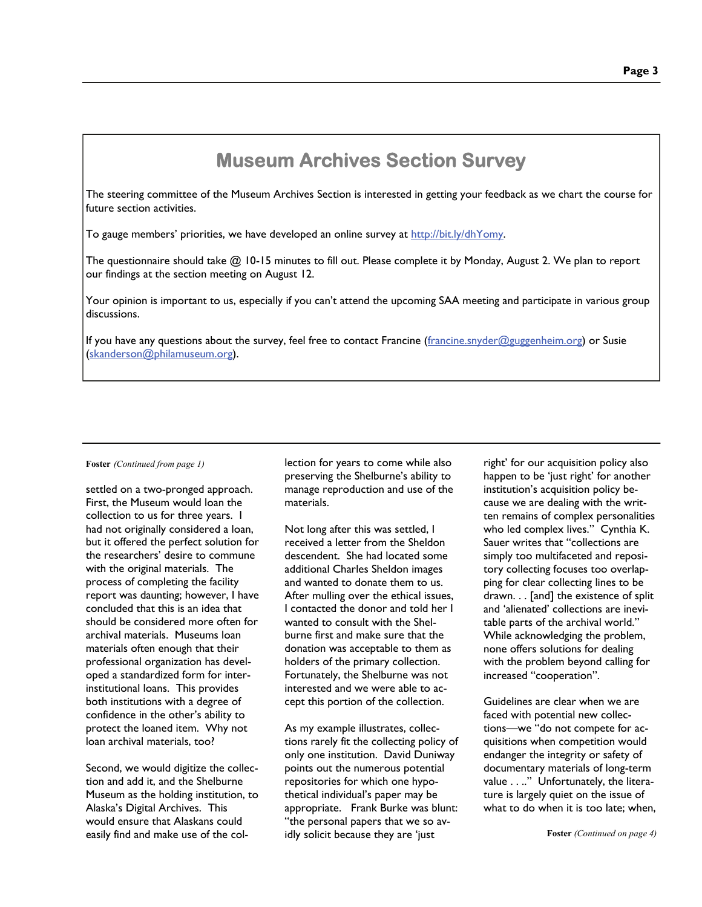## **Museum Archives Section Survey**

The steering committee of the Museum Archives Section is interested in getting your feedback as we chart the course for future section activities.

To gauge members' priorities, we have developed an online survey at<http://bit.ly/dhYomy>.

The questionnaire should take @ 10-15 minutes to fill out. Please complete it by Monday, August 2. We plan to report our findings at the section meeting on August 12.

Your opinion is important to us, especially if you can't attend the upcoming SAA meeting and participate in various group discussions.

If you have any questions about the survey, feel free to contact Francine [\(francine.snyder@guggenheim.org](mailto:francine.snyder@guggenheim.org)) or Susie [\(skanderson@philamuseum.org](mailto:skanderson@philamuseum.org)).

#### **Foster** *(Continued from page 1)*

settled on a two-pronged approach. First, the Museum would loan the collection to us for three years. I had not originally considered a loan, but it offered the perfect solution for the researchers' desire to commune with the original materials. The process of completing the facility report was daunting; however, I have concluded that this is an idea that should be considered more often for archival materials. Museums loan materials often enough that their professional organization has developed a standardized form for interinstitutional loans. This provides both institutions with a degree of confidence in the other's ability to protect the loaned item. Why not loan archival materials, too?

Second, we would digitize the collection and add it, and the Shelburne Museum as the holding institution, to Alaska's Digital Archives. This would ensure that Alaskans could easily find and make use of the col-

lection for years to come while also preserving the Shelburne's ability to manage reproduction and use of the materials.

Not long after this was settled, I received a letter from the Sheldon descendent. She had located some additional Charles Sheldon images and wanted to donate them to us. After mulling over the ethical issues, I contacted the donor and told her I wanted to consult with the Shelburne first and make sure that the donation was acceptable to them as holders of the primary collection. Fortunately, the Shelburne was not interested and we were able to accept this portion of the collection.

As my example illustrates, collections rarely fit the collecting policy of only one institution. David Duniway points out the numerous potential repositories for which one hypothetical individual's paper may be appropriate. Frank Burke was blunt: "the personal papers that we so avidly solicit because they are 'just

right' for our acquisition policy also happen to be 'just right' for another institution's acquisition policy because we are dealing with the written remains of complex personalities who led complex lives." Cynthia K. Sauer writes that "collections are simply too multifaceted and repository collecting focuses too overlapping for clear collecting lines to be drawn. . . [and] the existence of split and 'alienated' collections are inevitable parts of the archival world." While acknowledging the problem, none offers solutions for dealing with the problem beyond calling for increased "cooperation".

Guidelines are clear when we are faced with potential new collections—we "do not compete for acquisitions when competition would endanger the integrity or safety of documentary materials of long-term value . . .." Unfortunately, the literature is largely quiet on the issue of what to do when it is too late; when,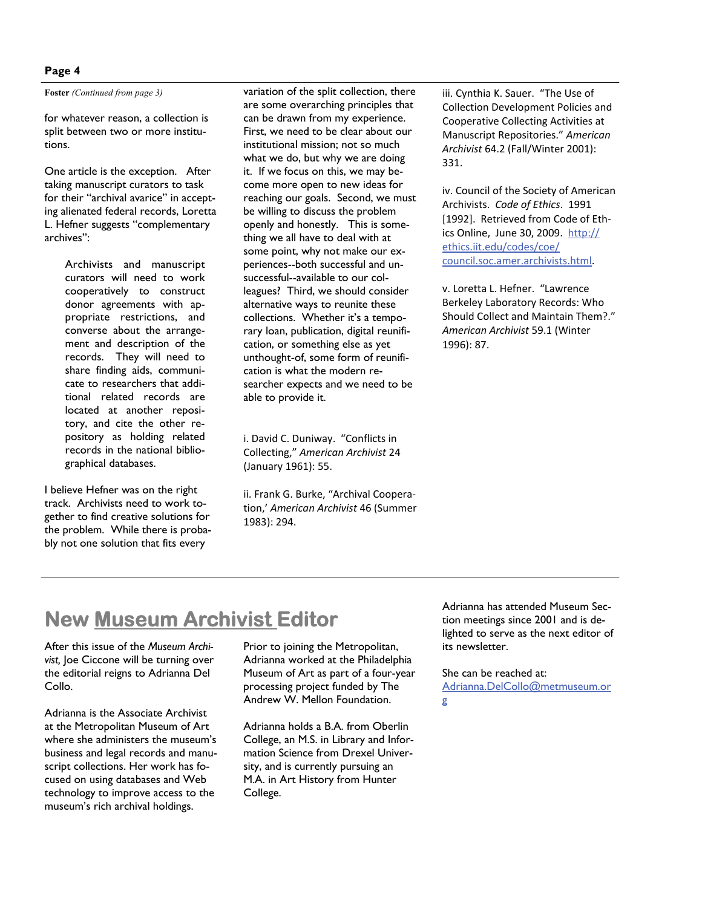#### **Page 4**

**Foster** *(Continued from page 3)* 

for whatever reason, a collection is split between two or more institutions.

One article is the exception. After taking manuscript curators to task for their "archival avarice" in accepting alienated federal records, Loretta L. Hefner suggests "complementary archives":

> Archivists and manuscript curators will need to work cooperatively to construct donor agreements with appropriate restrictions, and converse about the arrangement and description of the records. They will need to share finding aids, communicate to researchers that additional related records are located at another repository, and cite the other repository as holding related records in the national bibliographical databases.

I believe Hefner was on the right track. Archivists need to work together to find creative solutions for the problem. While there is probably not one solution that fits every

variation of the split collection, there are some overarching principles that can be drawn from my experience. First, we need to be clear about our institutional mission; not so much what we do, but why we are doing it. If we focus on this, we may become more open to new ideas for reaching our goals. Second, we must be willing to discuss the problem openly and honestly. This is something we all have to deal with at some point, why not make our experiences--both successful and unsuccessful--available to our colleagues? Third, we should consider alternative ways to reunite these collections. Whether it's a temporary loan, publication, digital reunification, or something else as yet unthought-of, some form of reunification is what the modern researcher expects and we need to be able to provide it.

i. David C. Duniway. "Conflicts in Collecting," *American Archivist* 24 (January 1961): 55.

ii. Frank G. Burke, "Archival Coopera‐ tion,' *American Archivist* 46 (Summer 1983): 294.

iii. Cynthia K. Sauer. "The Use of Collection Development Policies and Cooperative Collecting Activities at Manuscript Repositories." *American Archivist* 64.2 (Fall/Winter 2001): 331.

iv. Council of the Society of American Archivists. *Code of Ethics*. 1991 [1992]. Retrieved from Code of Ethics Online, June 30, 2009. [http://](http://ethics.iit.edu/codes/coe/council.soc.amer.archivists.html) [ethics.iit.edu/codes/coe/](http://ethics.iit.edu/codes/coe/council.soc.amer.archivists.html) [council.soc.amer.archivists.htm](http://ethics.iit.edu/codes/coe/council.soc.amer.archivists.html)l.

v. Loretta L. Hefner. "Lawrence Berkeley Laboratory Records: Who Should Collect and Maintain Them?." *American Archivist* 59.1 (Winter 1996): 87.

## **New Museum Archivist Editor**

After this issue of the *Museum Archivist,* Joe Ciccone will be turning over the editorial reigns to Adrianna Del Collo.

Adrianna is the Associate Archivist at the Metropolitan Museum of Art where she administers the museum's business and legal records and manuscript collections. Her work has focused on using databases and Web technology to improve access to the museum's rich archival holdings.

Prior to joining the Metropolitan, Adrianna worked at the Philadelphia Museum of Art as part of a four-year processing project funded by The Andrew W. Mellon Foundation.

Adrianna holds a B.A. from Oberlin College, an M.S. in Library and Information Science from Drexel University, and is currently pursuing an M.A. in Art History from Hunter College.

Adrianna has attended Museum Section meetings since 2001 and is delighted to serve as the next editor of its newsletter.

She can be reached at: [Adrianna.DelCollo@metmuseum.or](mailto:Adrianna.DelCollo@metmuseum.org) [g](mailto:Adrianna.DelCollo@metmuseum.org)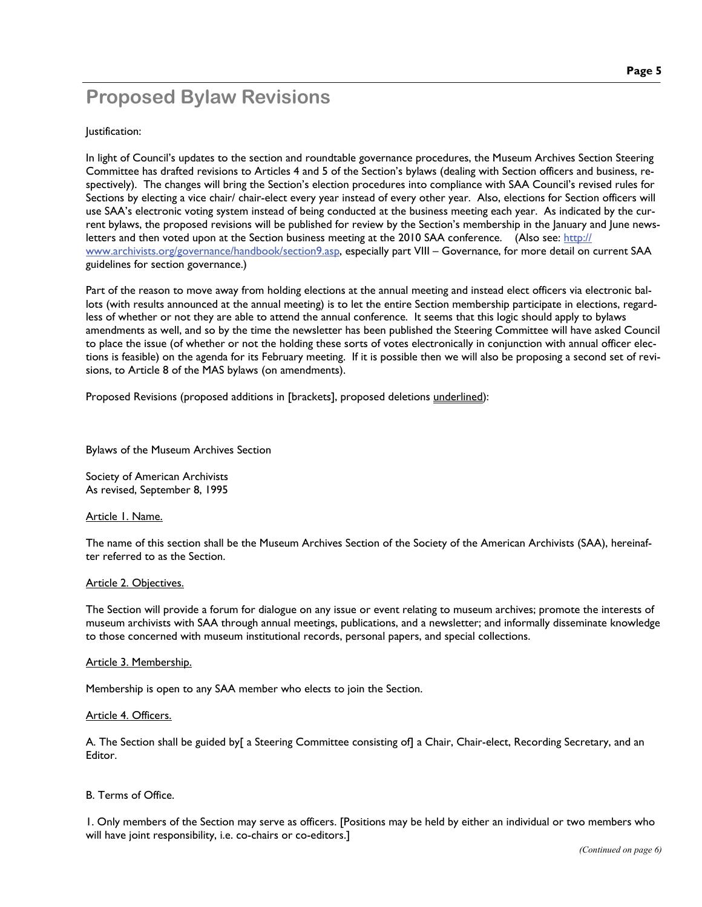## **Proposed Bylaw Revisions**

#### Justification:

In light of Council's updates to the section and roundtable governance procedures, the Museum Archives Section Steering Committee has drafted revisions to Articles 4 and 5 of the Section's bylaws (dealing with Section officers and business, respectively). The changes will bring the Section's election procedures into compliance with SAA Council's revised rules for Sections by electing a vice chair/ chair-elect every year instead of every other year. Also, elections for Section officers will use SAA's electronic voting system instead of being conducted at the business meeting each year. As indicated by the current bylaws, the proposed revisions will be published for review by the Section's membership in the January and June newsletters and then voted upon at the Section business meeting at the 2010 SAA conference. (Also see: [http://](http://www.archivists.org/governance/handbook/section9.asp) [www.archivists.org/governance/handbook/section9.asp](http://www.archivists.org/governance/handbook/section9.asp), especially part VIII – Governance, for more detail on current SAA guidelines for section governance.)

Part of the reason to move away from holding elections at the annual meeting and instead elect officers via electronic ballots (with results announced at the annual meeting) is to let the entire Section membership participate in elections, regardless of whether or not they are able to attend the annual conference. It seems that this logic should apply to bylaws amendments as well, and so by the time the newsletter has been published the Steering Committee will have asked Council to place the issue (of whether or not the holding these sorts of votes electronically in conjunction with annual officer elections is feasible) on the agenda for its February meeting. If it is possible then we will also be proposing a second set of revisions, to Article 8 of the MAS bylaws (on amendments).

Proposed Revisions (proposed additions in [brackets], proposed deletions underlined):

Bylaws of the Museum Archives Section

Society of American Archivists As revised, September 8, 1995

#### Article 1. Name.

The name of this section shall be the Museum Archives Section of the Society of the American Archivists (SAA), hereinafter referred to as the Section.

#### Article 2. Objectives.

The Section will provide a forum for dialogue on any issue or event relating to museum archives; promote the interests of museum archivists with SAA through annual meetings, publications, and a newsletter; and informally disseminate knowledge to those concerned with museum institutional records, personal papers, and special collections.

#### Article 3. Membership.

Membership is open to any SAA member who elects to join the Section.

#### Article 4. Officers.

A. The Section shall be guided by[ a Steering Committee consisting of] a Chair, Chair-elect, Recording Secretary, and an Editor.

#### B. Terms of Office.

1. Only members of the Section may serve as officers. [Positions may be held by either an individual or two members who will have joint responsibility, i.e. co-chairs or co-editors.]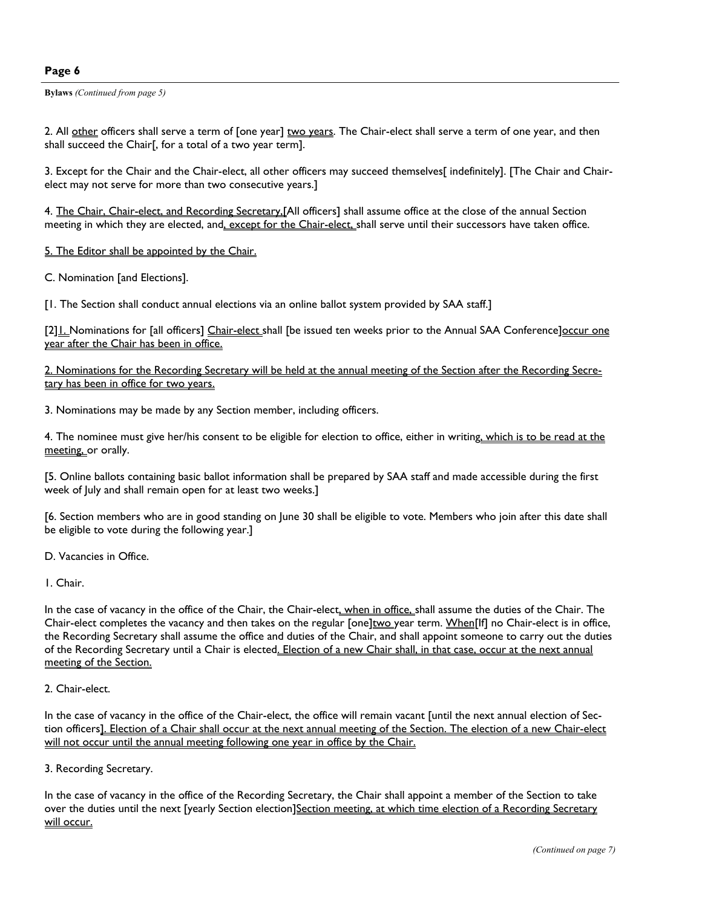#### **Page 6**

**Bylaws** *(Continued from page 5)* 

2. All other officers shall serve a term of [one year] two years. The Chair-elect shall serve a term of one year, and then shall succeed the Chair[, for a total of a two year term].

3. Except for the Chair and the Chair-elect, all other officers may succeed themselves[ indefinitely]. [The Chair and Chairelect may not serve for more than two consecutive years.]

4. The Chair, Chair-elect, and Recording Secretary, [All officers] shall assume office at the close of the annual Section meeting in which they are elected, and, except for the Chair-elect, shall serve until their successors have taken office.

5. The Editor shall be appointed by the Chair.

C. Nomination [and Elections].

[1. The Section shall conduct annual elections via an online ballot system provided by SAA staff.]

[2] ... Nominations for [all officers] Chair-elect shall [be issued ten weeks prior to the Annual SAA Conference] occur one year after the Chair has been in office.

2. Nominations for the Recording Secretary will be held at the annual meeting of the Section after the Recording Secretary has been in office for two years.

3. Nominations may be made by any Section member, including officers.

4. The nominee must give her/his consent to be eligible for election to office, either in writing, which is to be read at the meeting, or orally.

[5. Online ballots containing basic ballot information shall be prepared by SAA staff and made accessible during the first week of July and shall remain open for at least two weeks.]

[6. Section members who are in good standing on June 30 shall be eligible to vote. Members who join after this date shall be eligible to vote during the following year.]

D. Vacancies in Office.

1. Chair.

In the case of vacancy in the office of the Chair, the Chair-elect, when in office, shall assume the duties of the Chair. The Chair-elect completes the vacancy and then takes on the regular [one]two year term. When[If] no Chair-elect is in office, the Recording Secretary shall assume the office and duties of the Chair, and shall appoint someone to carry out the duties of the Recording Secretary until a Chair is elected. Election of a new Chair shall, in that case, occur at the next annual meeting of the Section.

#### 2. Chair-elect.

In the case of vacancy in the office of the Chair-elect, the office will remain vacant [until the next annual election of Section officers]. Election of a Chair shall occur at the next annual meeting of the Section. The election of a new Chair-elect will not occur until the annual meeting following one year in office by the Chair.

#### 3. Recording Secretary.

In the case of vacancy in the office of the Recording Secretary, the Chair shall appoint a member of the Section to take over the duties until the next [yearly Section election]Section meeting, at which time election of a Recording Secretary will occur.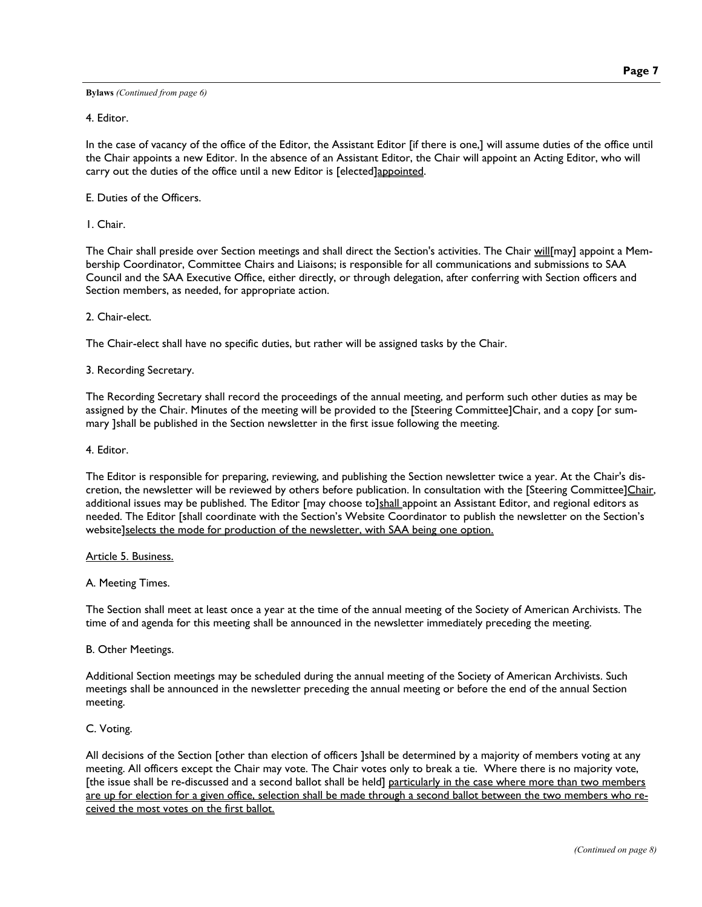**Bylaws** *(Continued from page 6)* 

4. Editor.

In the case of vacancy of the office of the Editor, the Assistant Editor [if there is one,] will assume duties of the office until the Chair appoints a new Editor. In the absence of an Assistant Editor, the Chair will appoint an Acting Editor, who will carry out the duties of the office until a new Editor is [elected]appointed.

E. Duties of the Officers.

1. Chair.

The Chair shall preside over Section meetings and shall direct the Section's activities. The Chair will[may] appoint a Membership Coordinator, Committee Chairs and Liaisons; is responsible for all communications and submissions to SAA Council and the SAA Executive Office, either directly, or through delegation, after conferring with Section officers and Section members, as needed, for appropriate action.

2. Chair-elect.

The Chair-elect shall have no specific duties, but rather will be assigned tasks by the Chair.

3. Recording Secretary.

The Recording Secretary shall record the proceedings of the annual meeting, and perform such other duties as may be assigned by the Chair. Minutes of the meeting will be provided to the [Steering Committee]Chair, and a copy [or summary ]shall be published in the Section newsletter in the first issue following the meeting.

4. Editor.

The Editor is responsible for preparing, reviewing, and publishing the Section newsletter twice a year. At the Chair's discretion, the newsletter will be reviewed by others before publication. In consultation with the [Steering Committee]Chair, additional issues may be published. The Editor [may choose to]shall appoint an Assistant Editor, and regional editors as needed. The Editor [shall coordinate with the Section's Website Coordinator to publish the newsletter on the Section's website]selects the mode for production of the newsletter, with SAA being one option.

Article 5. Business.

A. Meeting Times.

The Section shall meet at least once a year at the time of the annual meeting of the Society of American Archivists. The time of and agenda for this meeting shall be announced in the newsletter immediately preceding the meeting.

B. Other Meetings.

Additional Section meetings may be scheduled during the annual meeting of the Society of American Archivists. Such meetings shall be announced in the newsletter preceding the annual meeting or before the end of the annual Section meeting.

C. Voting.

All decisions of the Section [other than election of officers ]shall be determined by a majority of members voting at any meeting. All officers except the Chair may vote. The Chair votes only to break a tie. Where there is no majority vote, [the issue shall be re-discussed and a second ballot shall be held] particularly in the case where more than two members are up for election for a given office, selection shall be made through a second ballot between the two members who received the most votes on the first ballot.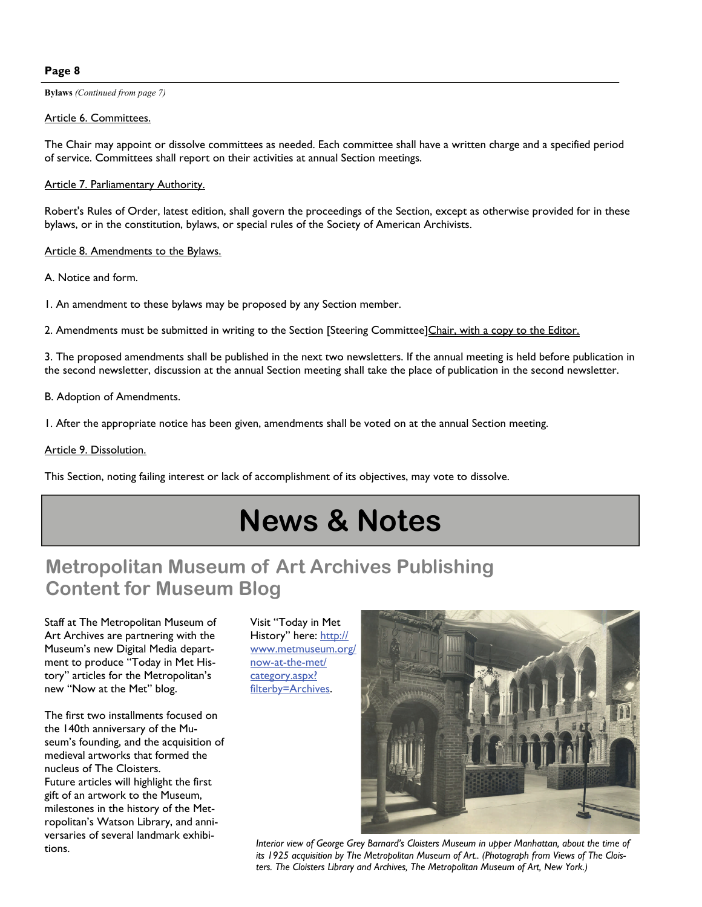#### **Page 8**

**Bylaws** *(Continued from page 7)* 

#### Article 6. Committees.

The Chair may appoint or dissolve committees as needed. Each committee shall have a written charge and a specified period of service. Committees shall report on their activities at annual Section meetings.

#### Article 7. Parliamentary Authority.

Robert's Rules of Order, latest edition, shall govern the proceedings of the Section, except as otherwise provided for in these bylaws, or in the constitution, bylaws, or special rules of the Society of American Archivists.

#### Article 8. Amendments to the Bylaws.

A. Notice and form.

1. An amendment to these bylaws may be proposed by any Section member.

2. Amendments must be submitted in writing to the Section [Steering Committee]Chair, with a copy to the Editor.

3. The proposed amendments shall be published in the next two newsletters. If the annual meeting is held before publication in the second newsletter, discussion at the annual Section meeting shall take the place of publication in the second newsletter.

B. Adoption of Amendments.

1. After the appropriate notice has been given, amendments shall be voted on at the annual Section meeting.

#### Article 9. Dissolution.

This Section, noting failing interest or lack of accomplishment of its objectives, may vote to dissolve.

## **News & Notes**

## **Metropolitan Museum of Art Archives Publishing Content for Museum Blog**

Staff at The Metropolitan Museum of Art Archives are partnering with the Museum's new Digital Media department to produce "Today in Met History" articles for the Metropolitan's new "Now at the Met" blog.

The first two installments focused on the 140th anniversary of the Museum's founding, and the acquisition of medieval artworks that formed the nucleus of The Cloisters. Future articles will highlight the first gift of an artwork to the Museum, milestones in the history of the Metropolitan's Watson Library, and anniversaries of several landmark exhibitions.

Visit "Today in Met History" here: [http://](http://www.metmuseum.org/now-at-the-met/category.aspx?filterby=Archives) [www.metmuseum.org/](http://www.metmuseum.org/now-at-the-met/category.aspx?filterby=Archives) [now-at-the-met/](http://www.metmuseum.org/now-at-the-met/category.aspx?filterby=Archives) [category.aspx?](http://www.metmuseum.org/now-at-the-met/category.aspx?filterby=Archives) [filterby=Archives](http://www.metmuseum.org/now-at-the-met/category.aspx?filterby=Archives).



*Interior view of George Grey Barnard's Cloisters Museum in upper Manhattan, about the time of its 1925 acquisition by The Metropolitan Museum of Art.. (Photograph from Views of The Cloisters. The Cloisters Library and Archives, The Metropolitan Museum of Art, New York.)*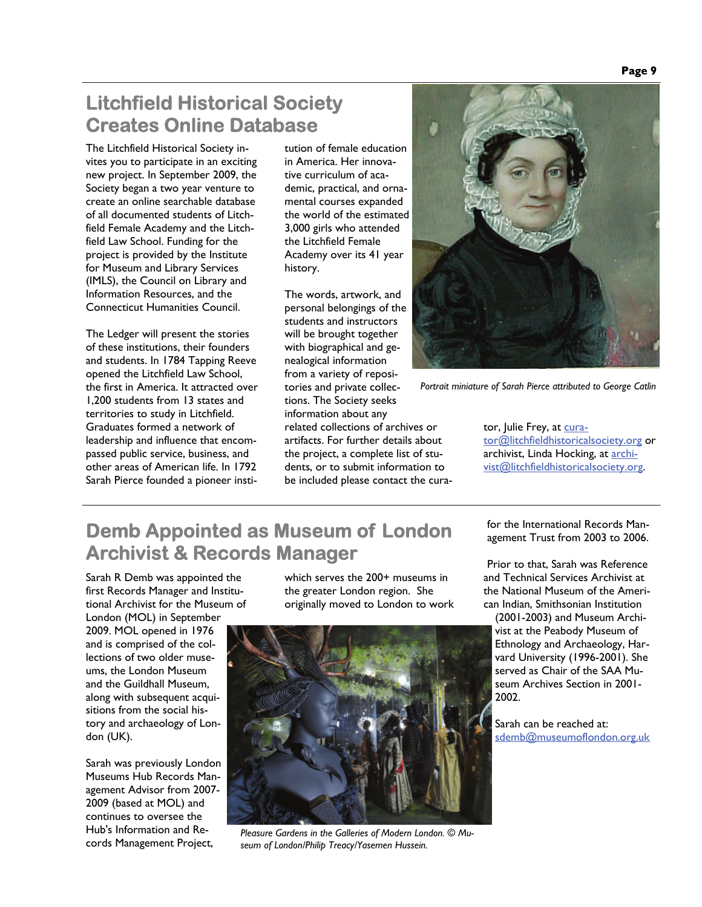## **Litchfield Historical Society Creates Online Database**

The Litchfield Historical Society invites you to participate in an exciting new project. In September 2009, the Society began a two year venture to create an online searchable database of all documented students of Litchfield Female Academy and the Litchfield Law School. Funding for the project is provided by the Institute for Museum and Library Services (IMLS), the Council on Library and Information Resources, and the Connecticut Humanities Council.

The Ledger will present the stories of these institutions, their founders and students. In 1784 Tapping Reeve opened the Litchfield Law School, the first in America. It attracted over 1,200 students from 13 states and territories to study in Litchfield. Graduates formed a network of leadership and influence that encompassed public service, business, and other areas of American life. In 1792 Sarah Pierce founded a pioneer insti-

tution of female education in America. Her innovative curriculum of academic, practical, and ornamental courses expanded the world of the estimated 3,000 girls who attended the Litchfield Female Academy over its 41 year history.

The words, artwork, and personal belongings of the students and instructors will be brought together with biographical and genealogical information from a variety of repositories and private collections. The Society seeks information about any related collections of archives or artifacts. For further details about the project, a complete list of students, or to submit information to be included please contact the cura-



*Portrait miniature of Sarah Pierce attributed to George Catlin* 

tor, Julie Frey, at [cura](mailto:curator@litchfieldhistoricalsociety.org)[tor@litchfieldhistoricalsociety.org](mailto:curator@litchfieldhistoricalsociety.org) or archivist, Linda Hocking, at [archi](mailto:archivist@litchfieldhistoricalsociety.org)[vist@litchfieldhistoricalsociety.org](mailto:archivist@litchfieldhistoricalsociety.org).

## **Demb Appointed as Museum of London Archivist & Records Manager**

Sarah R Demb was appointed the first Records Manager and Institutional Archivist for the Museum of London (MOL) in September

2009. MOL opened in 1976 and is comprised of the collections of two older museums, the London Museum and the Guildhall Museum, along with subsequent acquisitions from the social history and archaeology of London (UK).

Sarah was previously London Museums Hub Records Management Advisor from 2007- 2009 (based at MOL) and continues to oversee the Hub's Information and Records Management Project,

which serves the 200+ museums in the greater London region. She originally moved to London to work



*Pleasure Gardens in the Galleries of Modern London. © Museum of London/Philip Treacy/Yasemen Hussein.* 

for the International Records Management Trust from 2003 to 2006.

Prior to that, Sarah was Reference and Technical Services Archivist at the National Museum of the American Indian, Smithsonian Institution

(2001-2003) and Museum Archivist at the Peabody Museum of Ethnology and Archaeology, Harvard University (1996-2001). She served as Chair of the SAA Museum Archives Section in 2001- 2002.

Sarah can be reached at: [sdemb@museumoflondon.org.uk](mailto:sdemb@museumoflondon.org.uk)